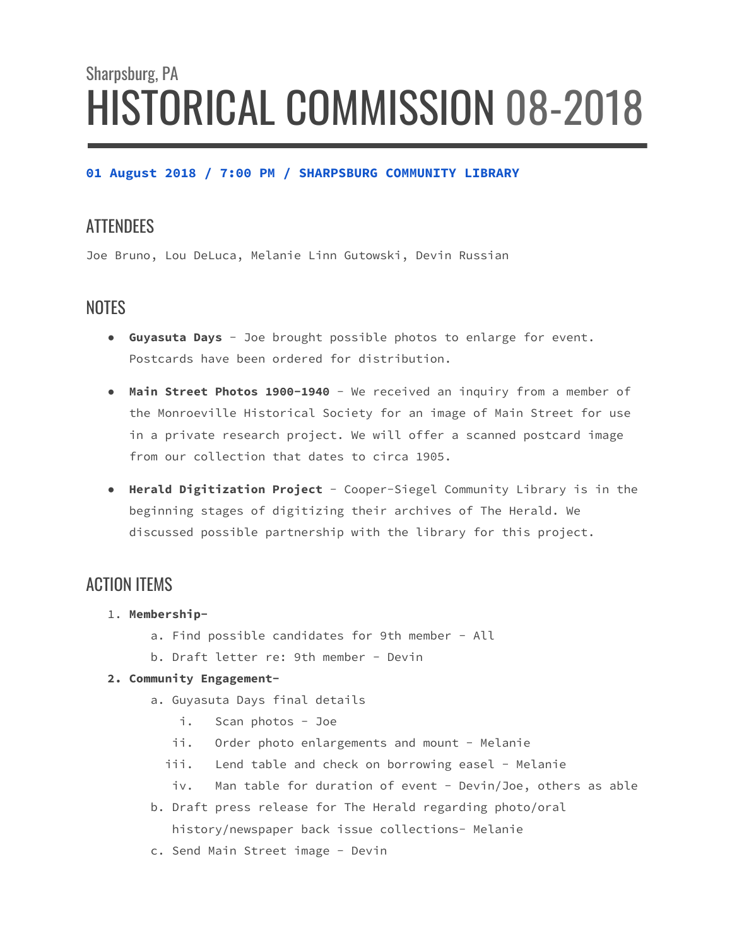# Sharpsburg, PA HISTORICAL COMMISSION 08-2018

#### **01 August 2018 / 7:00 PM / SHARPSBURG COMMUNITY LIBRARY**

## **ATTENDEES**

Joe Bruno, Lou DeLuca, Melanie Linn Gutowski, Devin Russian

## **NOTES**

- **● Guyasuta Days** Joe brought possible photos to enlarge for event. Postcards have been ordered for distribution.
- **● Main Street Photos 1900-1940** We received an inquiry from a member of the Monroeville Historical Society for an image of Main Street for use in a private research project. We will offer a scanned postcard image from our collection that dates to circa 1905.
- **● Herald Digitization Project** Cooper-Siegel Community Library is in the beginning stages of digitizing their archives of The Herald. We discussed possible partnership with the library for this project.

## ACTION ITEMS

- 1. **Membership**
	- a. Find possible candidates for 9th member All
	- b. Draft letter re: 9th member Devin

#### **2. Community Engagement-**

- a. Guyasuta Days final details
	- i. Scan photos Joe
	- ii. Order photo enlargements and mount Melanie
	- iii. Lend table and check on borrowing easel Melanie
	- iv. Man table for duration of event Devin/Joe, others as able
- b. Draft press release for The Herald regarding photo/oral history/newspaper back issue collections- Melanie
- c. Send Main Street image Devin